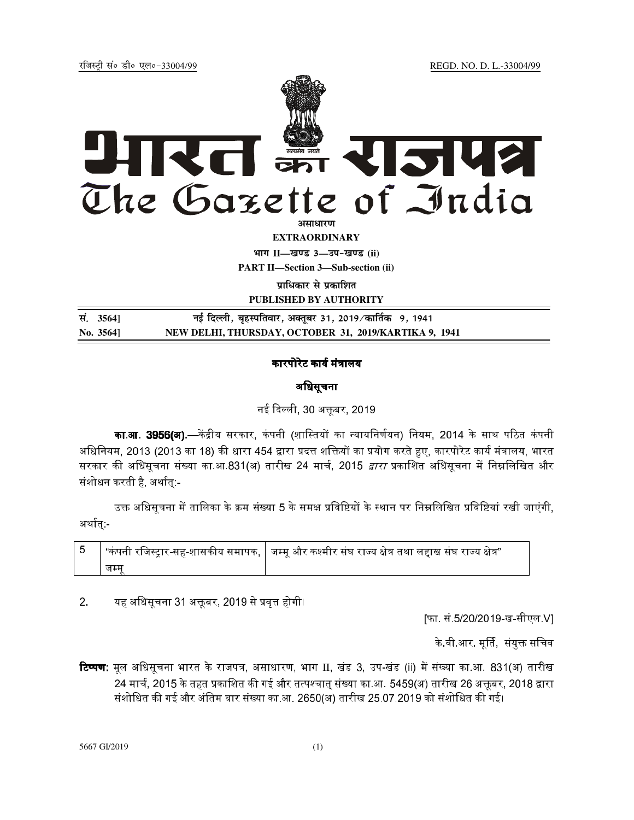REGD. NO. D. L.-33004/99

रजिस्टी सं० डी० एल०-33004/99



**EXTRAORDINARY** 

भाग II-खण्ड 3-उप-खण्ड (ii)

**PART II-Section 3-Sub-section (ii)** 

प्राधिकार से प्रकाशित

PUBLISHED BY AUTHORITY

सं. 35641 नई दिल्ली, बृहस्पतिवार, अक्तूबर 31, 2019∕कार्तिक 9, 1941 No. 35641 NEW DELHI, THURSDAY, OCTOBER 31, 2019/KARTIKA 9, 1941

## कारपोरेट कार्य मंत्रालय

# अधिसूचना

नई दिल्ली, 30 अक्तूबर, 2019

**का.आ. 3956(अ).—**केंद्रीय सरकार, कंपनी (शास्तियों का न्यायनिर्णयन) नियम, 2014 के साथ पठित कंपनी अधिनियम. 2013 (2013 का 18) की धारा 454 द्वारा प्रदत्त शक्तियों का प्रयोग करते हुए. कारपोरेट कार्य मंत्रालय. भारत सरकार की अधिसूचना संख्या का.आ.831(अ) तारीख 24 मार्च, 2015 *द्वारा* प्रकाशित अधिसूचना में निम्नलिखित और संशोधन करती है, अर्थात्:-

उक्त अधिसूचना में तालिका के क्रम संख्या 5 के समक्ष प्रविष्टियों के स्थान पर निम्नलिखित प्रविष्टियां रखी जाएंगी, अर्थात्:-

| जम्म |  |
|------|--|

 $2.$ यह अधिसूचना 31 अक्तूबर, 2019 से प्रवृत्त होगी।

[फा. सं 5/20/2019-ख-सीएल V]

के वी आर. मूर्ति, संयुक्त सचिव

**टिप्पण:** मूल अधिसूचना भारत के राजपत्र, असाधारण, भाग II, खंड 3, उप-खंड (ii) में संख्या का.आ. 831(अ) तारीख 24 मार्च, 2015 के तहत प्रकाशित की गई और तत्पश्चात् संख्या का.आ. 5459(अ) तारीख 26 अक्तूबर, 2018 द्वारा संशोधित की गई और अंतिम बार संख्या का.आ. 2650(अ) तारीख 25.07.2019 को संशोधित की गई।

5667 GI/2019